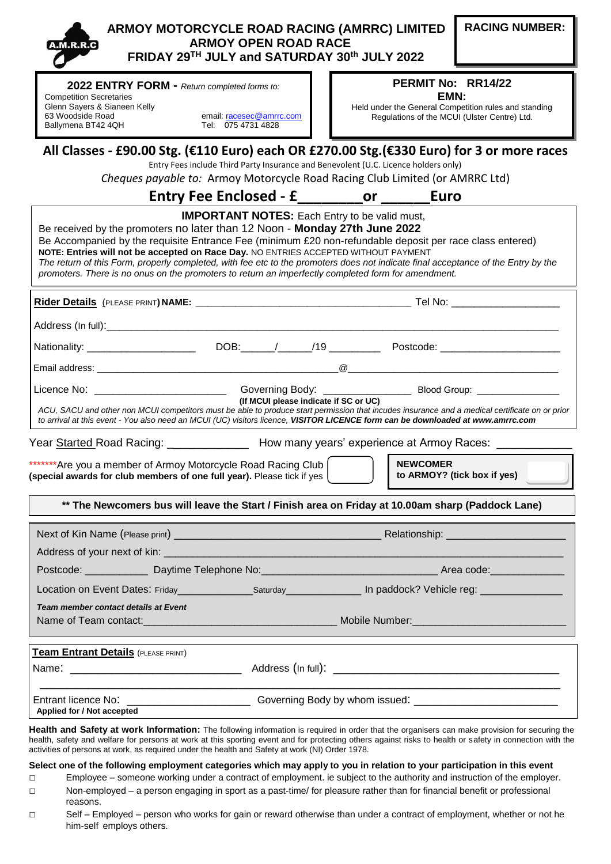| <b>A.M.R.R.C</b> |
|------------------|
|                  |

## **ARMOY MOTORCYCLE ROAD RACING (AMRRC) LIMITED ARMOY OPEN ROAD RACE FRIDAY 29TH JULY and SATURDAY 30 th JULY 2022**

**2022 ENTRY FORM -** *Return completed forms to:*

Competition Secretaries Glenn Sayers & Sianeen Kelly<br>63 Woodside Road Ballymena BT42 4QH Tel: 075 4731 4828

email: [racesec@amrrc.com](mailto:racesec@amrrc.com)

## **PERMIT No: RR14/22 EMN:**

Held under the General Competition rules and standing Regulations of the MCUI (Ulster Centre) Ltd.

**All Classes - £90.00 Stg. (€110 Euro) each OR £270.00 Stg.(€330 Euro) for 3 or more races**

Entry Fees include Third Party Insurance and Benevolent (U.C. Licence holders only)

*Cheques payable to:* Armoy Motorcycle Road Racing Club Limited (or AMRRC Ltd)

## **Entry Fee Enclosed - £\_\_\_\_\_\_\_\_or \_\_\_\_\_\_Euro**

| <b>IMPORTANT NOTES:</b> Each Entry to be valid must,<br>Be received by the promoters no later than 12 Noon - Monday 27th June 2022<br>Be Accompanied by the requisite Entrance Fee (minimum £20 non-refundable deposit per race class entered)<br>NOTE: Entries will not be accepted on Race Day. NO ENTRIES ACCEPTED WITHOUT PAYMENT<br>The return of this Form, properly completed, with fee etc to the promoters does not indicate final acceptance of the Entry by the<br>promoters. There is no onus on the promoters to return an imperfectly completed form for amendment. |  |                                       |                                                                                                                                                                                                                                                                                   |  |
|-----------------------------------------------------------------------------------------------------------------------------------------------------------------------------------------------------------------------------------------------------------------------------------------------------------------------------------------------------------------------------------------------------------------------------------------------------------------------------------------------------------------------------------------------------------------------------------|--|---------------------------------------|-----------------------------------------------------------------------------------------------------------------------------------------------------------------------------------------------------------------------------------------------------------------------------------|--|
|                                                                                                                                                                                                                                                                                                                                                                                                                                                                                                                                                                                   |  |                                       |                                                                                                                                                                                                                                                                                   |  |
|                                                                                                                                                                                                                                                                                                                                                                                                                                                                                                                                                                                   |  |                                       |                                                                                                                                                                                                                                                                                   |  |
| Nationality: _________________________                                                                                                                                                                                                                                                                                                                                                                                                                                                                                                                                            |  |                                       |                                                                                                                                                                                                                                                                                   |  |
|                                                                                                                                                                                                                                                                                                                                                                                                                                                                                                                                                                                   |  |                                       |                                                                                                                                                                                                                                                                                   |  |
|                                                                                                                                                                                                                                                                                                                                                                                                                                                                                                                                                                                   |  | (If MCUI please indicate if SC or UC) | ACU, SACU and other non MCUI competitors must be able to produce start permission that incudes insurance and a medical certificate on or prior<br>to arrival at this event - You also need an MCUI (UC) visitors licence, VISITOR LICENCE form can be downloaded at www.amrrc.com |  |
| Year Started Road Racing: _______________ How many years' experience at Armoy Races:<br><b>NEWCOMER</b><br>*******Are you a member of Armoy Motorcycle Road Racing Club  <br>to ARMOY? (tick box if yes)<br>(special awards for club members of one full year). Please tick if yes $\vert$                                                                                                                                                                                                                                                                                        |  |                                       |                                                                                                                                                                                                                                                                                   |  |
| ** The Newcomers bus will leave the Start / Finish area on Friday at 10.00am sharp (Paddock Lane)                                                                                                                                                                                                                                                                                                                                                                                                                                                                                 |  |                                       |                                                                                                                                                                                                                                                                                   |  |
|                                                                                                                                                                                                                                                                                                                                                                                                                                                                                                                                                                                   |  |                                       |                                                                                                                                                                                                                                                                                   |  |
|                                                                                                                                                                                                                                                                                                                                                                                                                                                                                                                                                                                   |  |                                       |                                                                                                                                                                                                                                                                                   |  |
|                                                                                                                                                                                                                                                                                                                                                                                                                                                                                                                                                                                   |  |                                       |                                                                                                                                                                                                                                                                                   |  |
|                                                                                                                                                                                                                                                                                                                                                                                                                                                                                                                                                                                   |  |                                       | Location on Event Dates: Friday________________Saturday________________ In paddock? Vehicle reg: _____________                                                                                                                                                                    |  |
| Team member contact details at Event<br>Mobile Number: Management of Mobile Number:                                                                                                                                                                                                                                                                                                                                                                                                                                                                                               |  |                                       |                                                                                                                                                                                                                                                                                   |  |
| Team Entrant Details (PLEASE PRINT)                                                                                                                                                                                                                                                                                                                                                                                                                                                                                                                                               |  |                                       |                                                                                                                                                                                                                                                                                   |  |
|                                                                                                                                                                                                                                                                                                                                                                                                                                                                                                                                                                                   |  |                                       |                                                                                                                                                                                                                                                                                   |  |
| Entrant licence No:<br>Applied for / Not accepted                                                                                                                                                                                                                                                                                                                                                                                                                                                                                                                                 |  |                                       | <b>Example 2018 Governing Body by whom issued: COVERTING 2019 COVERTING 2019 OF A 2019 OF A 2019 OF A 2019 OF A 2019 OF A 2019 OF A 2019 OF A 2019 OF A 2019 OF A 2019 OF A 2019 OF A 2019 OF A 2019 OF A 2019 OF A 2019 OF A </b>                                                |  |

**Health and Safety at work Information:** The following information is required in order that the organisers can make provision for securing the health, safety and welfare for persons at work at this sporting event and for protecting others against risks to health or safety in connection with the activities of persons at work, as required under the health and Safety at work (NI) Order 1978.

## **Select one of the following employment categories which may apply to you in relation to your participation in this event**

**□** Employee – someone working under a contract of employment. ie subject to the authority and instruction of the employer.

**□** Non-employed – a person engaging in sport as a past-time/ for pleasure rather than for financial benefit or professional reasons.

**□** Self – Employed – person who works for gain or reward otherwise than under a contract of employment, whether or not he him-self employs others.